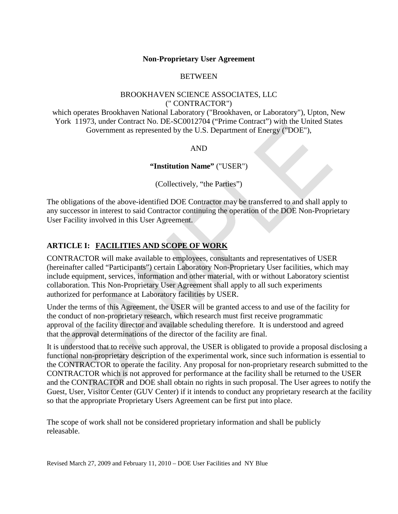### **Non-Proprietary User Agreement**

## **BETWEEN**

## BROOKHAVEN SCIENCE ASSOCIATES, LLC (" CONTRACTOR")

which operates Brookhaven National Laboratory ("Brookhaven, or Laboratory"), Upton, New York 11973, under Contract No. DE-SC0012704 ("Prime Contract") with the United States Government as represented by the U.S. Department of Energy ("DOE"),

### AND

### **"Institution Name"** ("USER")

(Collectively, "the Parties")

The obligations of the above-identified DOE Contractor may be transferred to and shall apply to any successor in interest to said Contractor continuing the operation of the DOE Non-Proprietary User Facility involved in this User Agreement.

# **ARTICLE I: FACILITIES AND SCOPE OF WORK**

CONTRACTOR will make available to employees, consultants and representatives of USER (hereinafter called "Participants") certain Laboratory Non-Proprietary User facilities, which may include equipment, services, information and other material, with or without Laboratory scientist collaboration. This Non-Proprietary User Agreement shall apply to all such experiments authorized for performance at Laboratory facilities by USER.

Under the terms of this Agreement, the USER will be granted access to and use of the facility for the conduct of non-proprietary research, which research must first receive programmatic approval of the facility director and available scheduling therefore. It is understood and agreed that the approval determinations of the director of the facility are final.

It is understood that to receive such approval, the USER is obligated to provide a proposal disclosing a functional non-proprietary description of the experimental work, since such information is essential to the CONTRACTOR to operate the facility. Any proposal for non-proprietary research submitted to the CONTRACTOR which is not approved for performance at the facility shall be returned to the USER and the CONTRACTOR and DOE shall obtain no rights in such proposal. The User agrees to notify the Guest, User, Visitor Center (GUV Center) if it intends to conduct any proprietary research at the facility so that the appropriate Proprietary Users Agreement can be first put into place.

The scope of work shall not be considered proprietary information and shall be publicly releasable.

Revised March 27, 2009 and February 11, 2010 – DOE User Facilities and NY Blue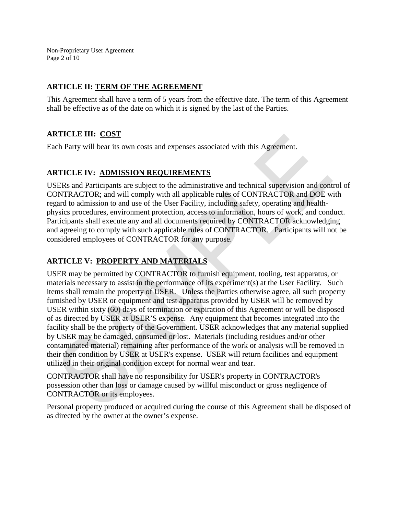Non-Proprietary User Agreement Page 2 of 10

## **ARTICLE II: TERM OF THE AGREEMENT**

This Agreement shall have a term of 5 years from the effective date. The term of this Agreement shall be effective as of the date on which it is signed by the last of the Parties.

# **ARTICLE III: COST**

Each Party will bear its own costs and expenses associated with this Agreement.

## **ARTICLE IV: ADMISSION REQUIREMENTS**

USERs and Participants are subject to the administrative and technical supervision and control of CONTRACTOR; and will comply with all applicable rules of CONTRACTOR and DOE with regard to admission to and use of the User Facility, including safety, operating and healthphysics procedures, environment protection, access to information, hours of work, and conduct. Participants shall execute any and all documents required by CONTRACTOR acknowledging and agreeing to comply with such applicable rules of CONTRACTOR. Participants will not be considered employees of CONTRACTOR for any purpose.

# **ARTICLE V: PROPERTY AND MATERIALS**

USER may be permitted by CONTRACTOR to furnish equipment, tooling, test apparatus, or materials necessary to assist in the performance of its experiment(s) at the User Facility. Such items shall remain the property of USER. Unless the Parties otherwise agree, all such property furnished by USER or equipment and test apparatus provided by USER will be removed by USER within sixty (60) days of termination or expiration of this Agreement or will be disposed of as directed by USER at USER'S expense. Any equipment that becomes integrated into the facility shall be the property of the Government. USER acknowledges that any material supplied by USER may be damaged, consumed or lost. Materials (including residues and/or other contaminated material) remaining after performance of the work or analysis will be removed in their then condition by USER at USER's expense. USER will return facilities and equipment utilized in their original condition except for normal wear and tear.

CONTRACTOR shall have no responsibility for USER's property in CONTRACTOR's possession other than loss or damage caused by willful misconduct or gross negligence of CONTRACTOR or its employees.

Personal property produced or acquired during the course of this Agreement shall be disposed of as directed by the owner at the owner's expense.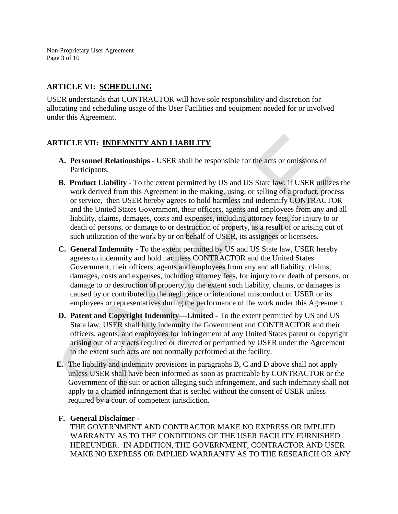Non-Proprietary User Agreement Page 3 of 10

## **ARTICLE VI: SCHEDULING**

USER understands that CONTRACTOR will have sole responsibility and discretion for allocating and scheduling usage of the User Facilities and equipment needed for or involved under this Agreement.

# **ARTICLE VII: INDEMNITY AND LIABILITY**

- **A. Personnel Relationships -** USER shall be responsible for the acts or omissions of Participants.
- **B. Product Liability** To the extent permitted by US and US State law, if USER utilizes the work derived from this Agreement in the making, using, or selling of a product, process or service, then USER hereby agrees to hold harmless and indemnify CONTRACTOR and the United States Government, their officers, agents and employees from any and all liability, claims, damages, costs and expenses, including attorney fees, for injury to or death of persons, or damage to or destruction of property, as a result of or arising out of such utilization of the work by or on behalf of USER, its assignees or licensees.
- **C. General Indemnity**  To the extent permitted by US and US State law, USER hereby agrees to indemnify and hold harmless CONTRACTOR and the United States Government, their officers, agents and employees from any and all liability, claims, damages, costs and expenses, including attorney fees, for injury to or death of persons, or damage to or destruction of property, to the extent such liability, claims, or damages is caused by or contributed to the negligence or intentional misconduct of USER or its employees or representatives during the performance of the work under this Agreement.
- **D. Patent and Copyright Indemnity—Limited -** To the extent permitted by US and US State law, USER shall fully indemnify the Government and CONTRACTOR and their officers, agents, and employees for infringement of any United States patent or copyright arising out of any acts required or directed or performed by USER under the Agreement to the extent such acts are not normally performed at the facility.
- **E.** The liability and indemnity provisions in paragraphs B, C and D above shall not apply unless USER shall have been informed as soon as practicable by CONTRACTOR or the Government of the suit or action alleging such infringement, and such indemnity shall not apply to a claimed infringement that is settled without the consent of USER unless required by a court of competent jurisdiction.

# **F. General Disclaimer -**

THE GOVERNMENT AND CONTRACTOR MAKE NO EXPRESS OR IMPLIED WARRANTY AS TO THE CONDITIONS OF THE USER FACILITY FURNISHED HEREUNDER. IN ADDITION, THE GOVERNMENT, CONTRACTOR AND USER MAKE NO EXPRESS OR IMPLIED WARRANTY AS TO THE RESEARCH OR ANY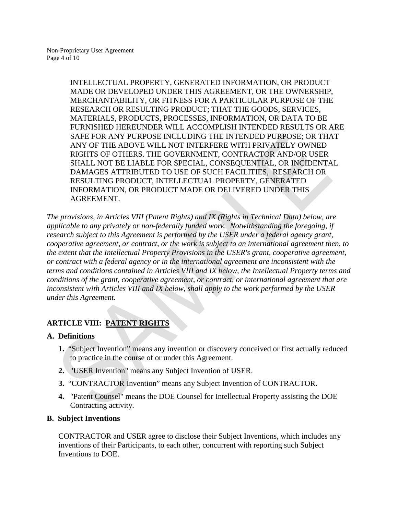INTELLECTUAL PROPERTY, GENERATED INFORMATION, OR PRODUCT MADE OR DEVELOPED UNDER THIS AGREEMENT, OR THE OWNERSHIP, MERCHANTABILITY, OR FITNESS FOR A PARTICULAR PURPOSE OF THE RESEARCH OR RESULTING PRODUCT; THAT THE GOODS, SERVICES, MATERIALS, PRODUCTS, PROCESSES, INFORMATION, OR DATA TO BE FURNISHED HEREUNDER WILL ACCOMPLISH INTENDED RESULTS OR ARE SAFE FOR ANY PURPOSE INCLUDING THE INTENDED PURPOSE; OR THAT ANY OF THE ABOVE WILL NOT INTERFERE WITH PRIVATELY OWNED RIGHTS OF OTHERS. THE GOVERNMENT, CONTRACTOR AND/OR USER SHALL NOT BE LIABLE FOR SPECIAL, CONSEQUENTIAL, OR INCIDENTAL DAMAGES ATTRIBUTED TO USE OF SUCH FACILITIES, RESEARCH OR RESULTING PRODUCT, INTELLECTUAL PROPERTY, GENERATED INFORMATION, OR PRODUCT MADE OR DELIVERED UNDER THIS AGREEMENT.

*The provisions, in Articles VIII (Patent Rights) and IX (Rights in Technical Data) below, are applicable to any privately or non-federally funded work. Notwithstanding the foregoing, if research subject to this Agreement is performed by the USER under a federal agency grant, cooperative agreement, or contract, or the work is subject to an international agreement then, to the extent that the Intellectual Property Provisions in the USER's grant, cooperative agreement, or contract with a federal agency or in the international agreement are inconsistent with the terms and conditions contained in Articles VIII and IX below, the Intellectual Property terms and conditions of the grant, cooperative agreement, or contract, or international agreement that are inconsistent with Articles VIII and IX below, shall apply to the work performed by the USER under this Agreement.*

# **ARTICLE VIII: PATENT RIGHTS**

# **A. Definitions**

- **1.** "Subject Invention" means any invention or discovery conceived or first actually reduced to practice in the course of or under this Agreement.
- **2.** "USER Invention" means any Subject Invention of USER.
- **3.** "CONTRACTOR Invention" means any Subject Invention of CONTRACTOR.
- **4.** "Patent Counsel" means the DOE Counsel for Intellectual Property assisting the DOE Contracting activity.

# **B. Subject Inventions**

CONTRACTOR and USER agree to disclose their Subject Inventions, which includes any inventions of their Participants, to each other, concurrent with reporting such Subject Inventions to DOE.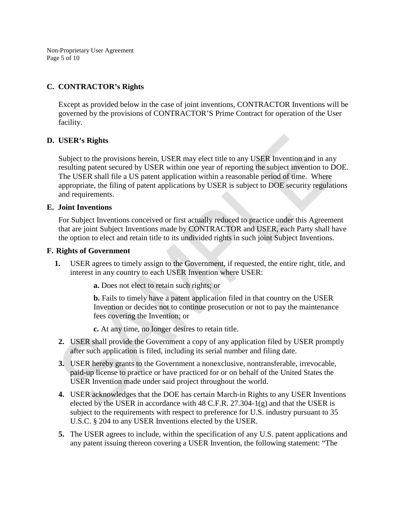Non-Proprietary User Agreement Page 5 of 10

## **C. CONTRACTOR's Rights**

Except as provided below in the case of joint inventions, CONTRACTOR Inventions will be governed by the provisions of CONTRACTOR'S Prime Contract for operation of the User facility.

## **D. USER's Rights**

Subject to the provisions herein, USER may elect title to any USER Invention and in any resulting patent secured by USER within one year of reporting the subject invention to DOE. The USER shall file a US patent application within a reasonable period of time. Where appropriate, the filing of patent applications by USER is subject to DOE security regulations and requirements.

### **E. Joint Inventions**

For Subject Inventions conceived or first actually reduced to practice under this Agreement that are joint Subject Inventions made by CONTRACTOR and USER, each Party shall have the option to elect and retain title to its undivided rights in such joint Subject Inventions.

### **F. Rights of Government**

 **1.** USER agrees to timely assign to the Government, if requested, the entire right, title, and interest in any country to each USER Invention where USER:

**a.** Does not elect to retain such rights; or

**b.** Fails to timely have a patent application filed in that country on the USER Invention or decides not to continue prosecution or not to pay the maintenance fees covering the Invention; or

**c.** At any time, no longer desires to retain title.

- **2.** USER shall provide the Government a copy of any application filed by USER promptly after such application is filed, including its serial number and filing date.
- **3.** USER hereby grants to the Government a nonexclusive, nontransferable, irrevocable, paid-up license to practice or have practiced for or on behalf of the United States the USER Invention made under said project throughout the world.
- **4.** USER acknowledges that the DOE has certain March-in Rights to any USER Inventions elected by the USER in accordance with 48 C.F.R. 27.304-1(g) and that the USER is subject to the requirements with respect to preference for U.S. industry pursuant to 35 U.S.C. § 204 to any USER Inventions elected by the USER.
- **5.** The USER agrees to include, within the specification of any U.S. patent applications and any patent issuing thereon covering a USER Invention, the following statement: "The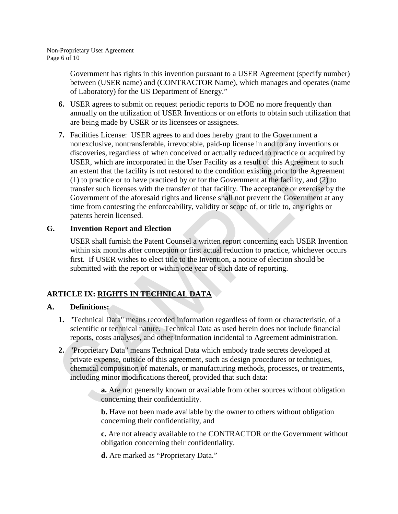Government has rights in this invention pursuant to a USER Agreement (specify number) between (USER name) and (CONTRACTOR Name), which manages and operates (name of Laboratory) for the US Department of Energy."

- **6.** USER agrees to submit on request periodic reports to DOE no more frequently than annually on the utilization of USER Inventions or on efforts to obtain such utilization that are being made by USER or its licensees or assignees.
- **7.** Facilities License: USER agrees to and does hereby grant to the Government a nonexclusive, nontransferable, irrevocable, paid-up license in and to any inventions or discoveries, regardless of when conceived or actually reduced to practice or acquired by USER, which are incorporated in the User Facility as a result of this Agreement to such an extent that the facility is not restored to the condition existing prior to the Agreement (1) to practice or to have practiced by or for the Government at the facility, and (2) to transfer such licenses with the transfer of that facility. The acceptance or exercise by the Government of the aforesaid rights and license shall not prevent the Government at any time from contesting the enforceability, validity or scope of, or title to, any rights or patents herein licensed.

# **G. Invention Report and Election**

USER shall furnish the Patent Counsel a written report concerning each USER Invention within six months after conception or first actual reduction to practice, whichever occurs first. If USER wishes to elect title to the Invention, a notice of election should be submitted with the report or within one year of such date of reporting.

# **ARTICLE IX: RIGHTS IN TECHNICAL DATA**

# **A. Definitions:**

- **1.** "Technical Data" means recorded information regardless of form or characteristic, of a scientific or technical nature. Technical Data as used herein does not include financial reports, costs analyses, and other information incidental to Agreement administration.
- **2.** "Proprietary Data" means Technical Data which embody trade secrets developed at private expense, outside of this agreement, such as design procedures or techniques, chemical composition of materials, or manufacturing methods, processes, or treatments, including minor modifications thereof, provided that such data:
	- **a.** Are not generally known or available from other sources without obligation concerning their confidentiality.

**b.** Have not been made available by the owner to others without obligation concerning their confidentiality, and

**c.** Are not already available to the CONTRACTOR or the Government without obligation concerning their confidentiality.

**d.** Are marked as "Proprietary Data."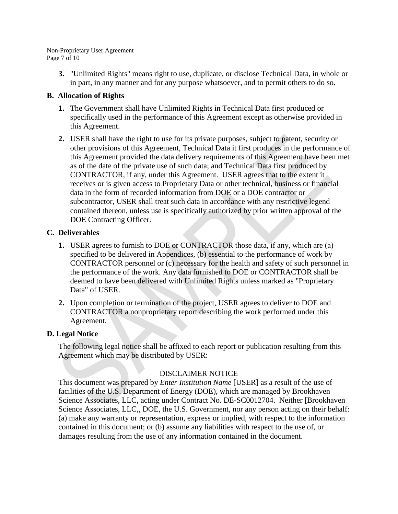#### Non-Proprietary User Agreement Page 7 of 10

**3.** "Unlimited Rights" means right to use, duplicate, or disclose Technical Data, in whole or in part, in any manner and for any purpose whatsoever, and to permit others to do so.

## **B. Allocation of Rights**

- **1.** The Government shall have Unlimited Rights in Technical Data first produced or specifically used in the performance of this Agreement except as otherwise provided in this Agreement.
- **2.** USER shall have the right to use for its private purposes, subject to patent, security or other provisions of this Agreement, Technical Data it first produces in the performance of this Agreement provided the data delivery requirements of this Agreement have been met as of the date of the private use of such data; and Technical Data first produced by CONTRACTOR, if any, under this Agreement. USER agrees that to the extent it receives or is given access to Proprietary Data or other technical, business or financial data in the form of recorded information from DOE or a DOE contractor or subcontractor, USER shall treat such data in accordance with any restrictive legend contained thereon, unless use is specifically authorized by prior written approval of the DOE Contracting Officer.

## **C. Deliverables**

- **1.** USER agrees to furnish to DOE or CONTRACTOR those data, if any, which are (a) specified to be delivered in Appendices, (b) essential to the performance of work by CONTRACTOR personnel or (c) necessary for the health and safety of such personnel in the performance of the work. Any data furnished to DOE or CONTRACTOR shall be deemed to have been delivered with Unlimited Rights unless marked as "Proprietary Data" of USER.
- **2.** Upon completion or termination of the project, USER agrees to deliver to DOE and CONTRACTOR a nonproprietary report describing the work performed under this Agreement.

# **D. Legal Notice**

The following legal notice shall be affixed to each report or publication resulting from this Agreement which may be distributed by USER:

# DISCLAIMER NOTICE

This document was prepared by *Enter Institution Name* [USER] as a result of the use of facilities of the U.S. Department of Energy (DOE), which are managed by Brookhaven Science Associates, LLC, acting under Contract No. DE-SC0012704. Neither [Brookhaven Science Associates, LLC,, DOE, the U.S. Government, nor any person acting on their behalf: (a) make any warranty or representation, express or implied, with respect to the information contained in this document; or (b) assume any liabilities with respect to the use of, or damages resulting from the use of any information contained in the document.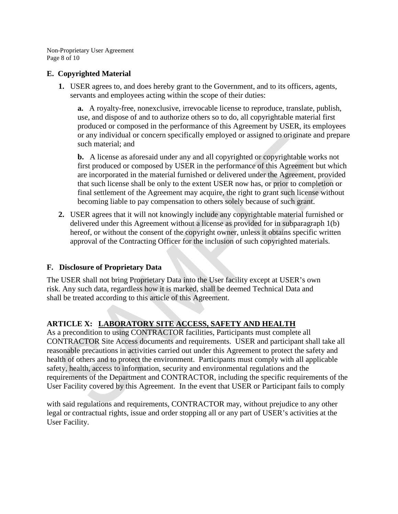Non-Proprietary User Agreement Page 8 of 10

## **E. Copyrighted Material**

**1.** USER agrees to, and does hereby grant to the Government, and to its officers, agents, servants and employees acting within the scope of their duties:

**a.** A royalty-free, nonexclusive, irrevocable license to reproduce, translate, publish, use, and dispose of and to authorize others so to do, all copyrightable material first produced or composed in the performance of this Agreement by USER, its employees or any individual or concern specifically employed or assigned to originate and prepare such material; and

**b.** A license as aforesaid under any and all copyrighted or copyrightable works not first produced or composed by USER in the performance of this Agreement but which are incorporated in the material furnished or delivered under the Agreement, provided that such license shall be only to the extent USER now has, or prior to completion or final settlement of the Agreement may acquire, the right to grant such license without becoming liable to pay compensation to others solely because of such grant.

**2.** USER agrees that it will not knowingly include any copyrightable material furnished or delivered under this Agreement without a license as provided for in subparagraph 1(b) hereof, or without the consent of the copyright owner, unless it obtains specific written approval of the Contracting Officer for the inclusion of such copyrighted materials.

# **F. Disclosure of Proprietary Data**

The USER shall not bring Proprietary Data into the User facility except at USER's own risk. Any such data, regardless how it is marked, shall be deemed Technical Data and shall be treated according to this article of this Agreement.

# **ARTICLE X: LABORATORY SITE ACCESS, SAFETY AND HEALTH**

As a precondition to using CONTRACTOR facilities, Participants must complete all CONTRACTOR Site Access documents and requirements. USER and participant shall take all reasonable precautions in activities carried out under this Agreement to protect the safety and health of others and to protect the environment. Participants must comply with all applicable safety, health, access to information, security and environmental regulations and the requirements of the Department and CONTRACTOR, including the specific requirements of the User Facility covered by this Agreement. In the event that USER or Participant fails to comply

with said regulations and requirements, CONTRACTOR may, without prejudice to any other legal or contractual rights, issue and order stopping all or any part of USER's activities at the User Facility.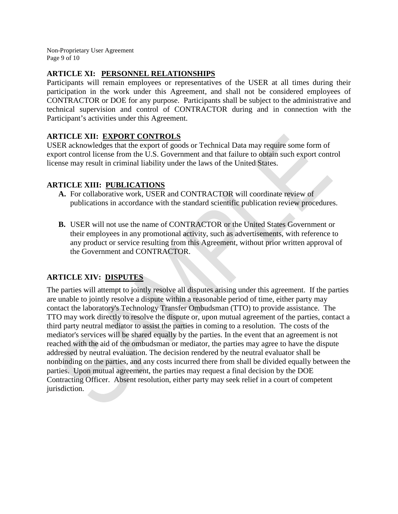Non-Proprietary User Agreement Page 9 of 10

# **ARTICLE XI: PERSONNEL RELATIONSHIPS**

Participants will remain employees or representatives of the USER at all times during their participation in the work under this Agreement, and shall not be considered employees of CONTRACTOR or DOE for any purpose. Participants shall be subject to the administrative and technical supervision and control of CONTRACTOR during and in connection with the Participant's activities under this Agreement.

# **ARTICLE XII: EXPORT CONTROLS**

USER acknowledges that the export of goods or Technical Data may require some form of export control license from the U.S. Government and that failure to obtain such export control license may result in criminal liability under the laws of the United States.

# **ARTICLE XIII: PUBLICATIONS**

- **A.** For collaborative work, USER and CONTRACTOR will coordinate review of publications in accordance with the standard scientific publication review procedures.
- **B.** USER will not use the name of CONTRACTOR or the United States Government or their employees in any promotional activity, such as advertisements, with reference to any product or service resulting from this Agreement, without prior written approval of the Government and CONTRACTOR.

# **ARTICLE XIV: DISPUTES**

The parties will attempt to jointly resolve all disputes arising under this agreement. If the parties are unable to jointly resolve a dispute within a reasonable period of time, either party may contact the laboratory's Technology Transfer Ombudsman (TTO) to provide assistance. The TTO may work directly to resolve the dispute or, upon mutual agreement of the parties, contact a third party neutral mediator to assist the parties in coming to a resolution. The costs of the mediator's services will be shared equally by the parties. In the event that an agreement is not reached with the aid of the ombudsman or mediator, the parties may agree to have the dispute addressed by neutral evaluation. The decision rendered by the neutral evaluator shall be nonbinding on the parties, and any costs incurred there from shall be divided equally between the parties. Upon mutual agreement, the parties may request a final decision by the DOE Contracting Officer. Absent resolution, either party may seek relief in a court of competent jurisdiction.